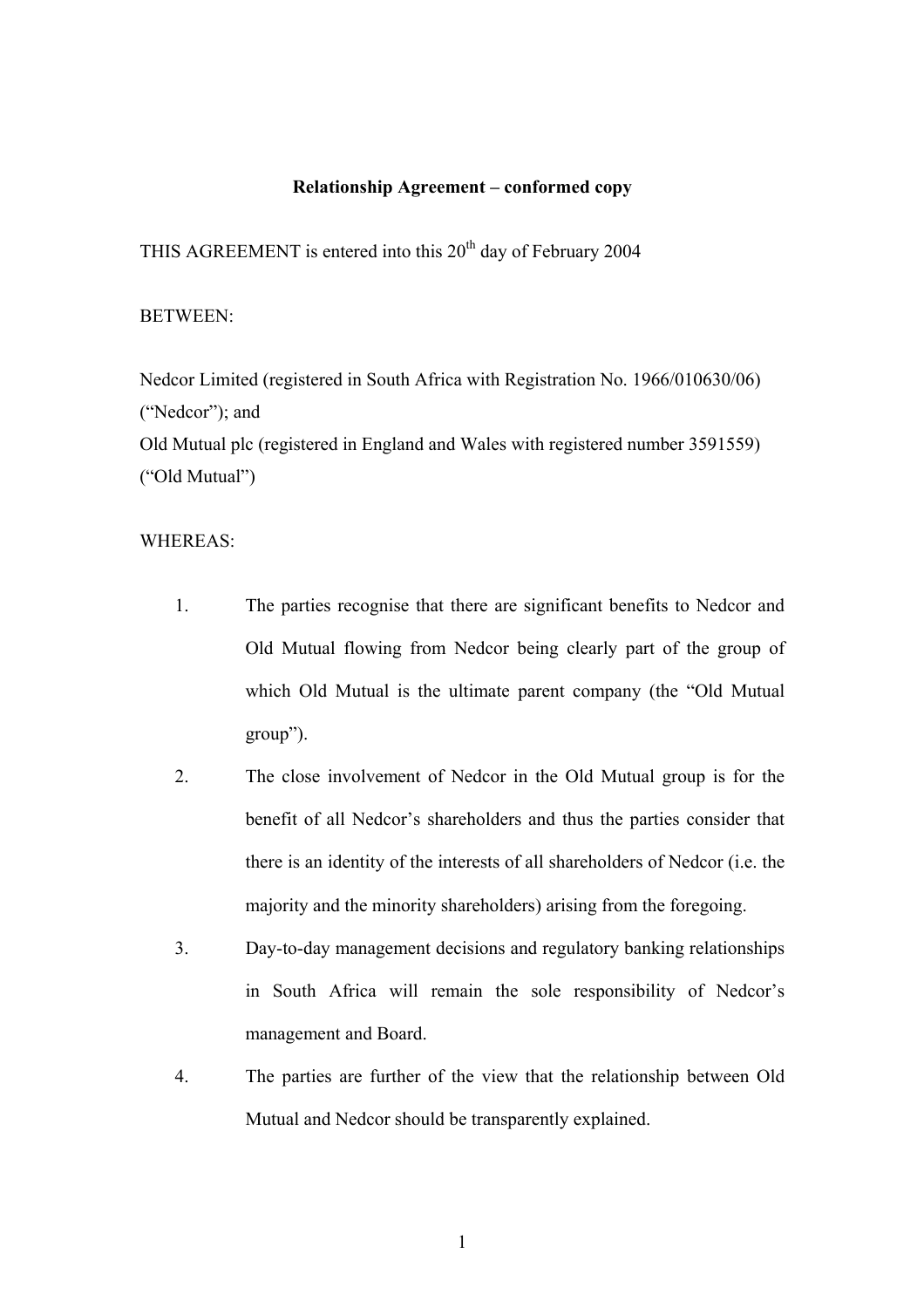#### **Relationship Agreement – conformed copy**

THIS AGREEMENT is entered into this 20<sup>th</sup> day of February 2004

#### BETWEEN:

Nedcor Limited (registered in South Africa with Registration No. 1966/010630/06) ("Nedcor"); and Old Mutual plc (registered in England and Wales with registered number 3591559) ("Old Mutual")

# WHEREAS:

- 1. The parties recognise that there are significant benefits to Nedcor and Old Mutual flowing from Nedcor being clearly part of the group of which Old Mutual is the ultimate parent company (the "Old Mutual group").
- 2. The close involvement of Nedcor in the Old Mutual group is for the benefit of all Nedcor's shareholders and thus the parties consider that there is an identity of the interests of all shareholders of Nedcor (i.e. the majority and the minority shareholders) arising from the foregoing.
- 3. Day-to-day management decisions and regulatory banking relationships in South Africa will remain the sole responsibility of Nedcor's management and Board.
- 4. The parties are further of the view that the relationship between Old Mutual and Nedcor should be transparently explained.

1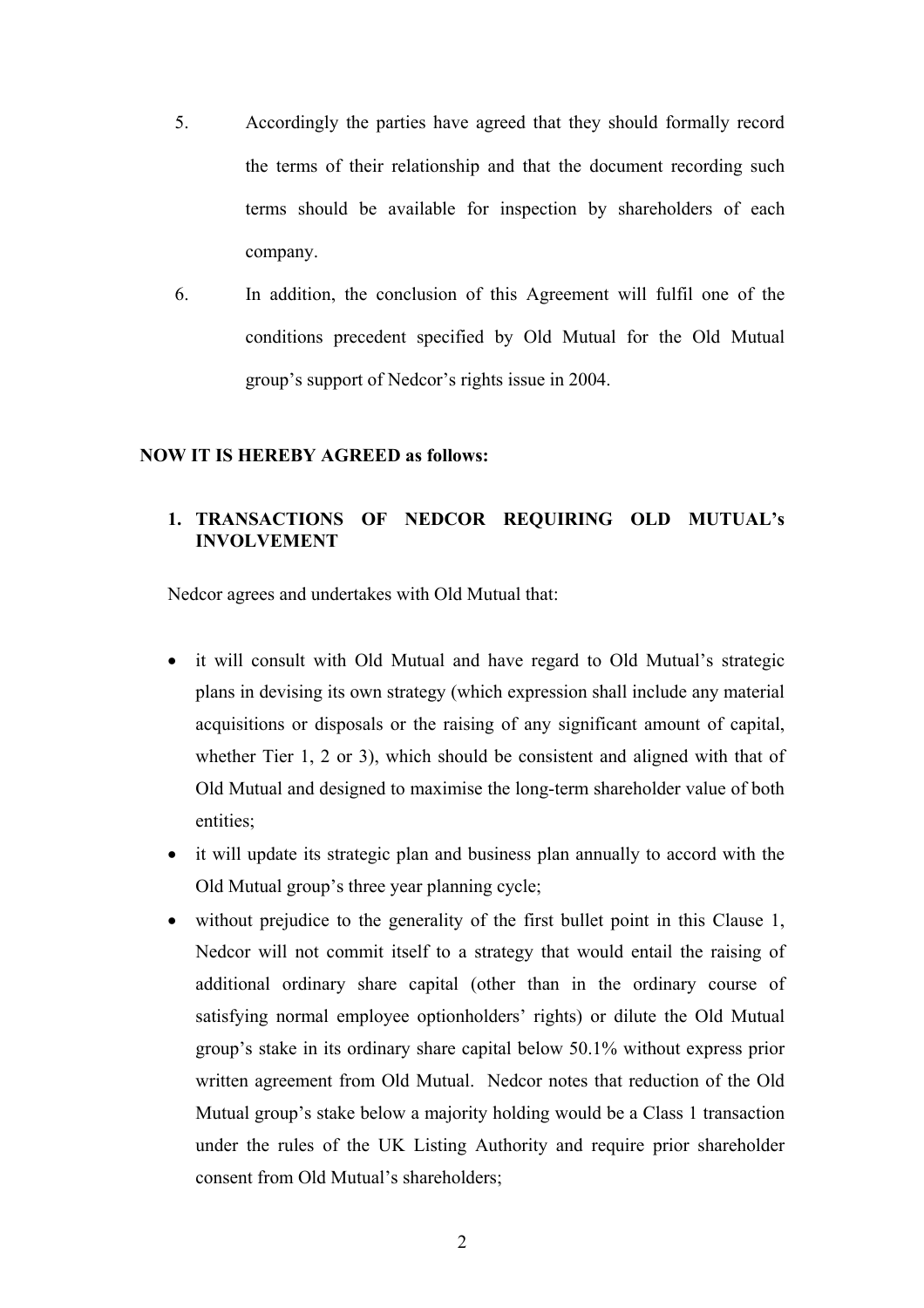- 5. Accordingly the parties have agreed that they should formally record the terms of their relationship and that the document recording such terms should be available for inspection by shareholders of each company.
- 6. In addition, the conclusion of this Agreement will fulfil one of the conditions precedent specified by Old Mutual for the Old Mutual group's support of Nedcor's rights issue in 2004.

## **NOW IT IS HEREBY AGREED as follows:**

# **1. TRANSACTIONS OF NEDCOR REQUIRING OLD MUTUAL's INVOLVEMENT**

Nedcor agrees and undertakes with Old Mutual that:

- it will consult with Old Mutual and have regard to Old Mutual's strategic plans in devising its own strategy (which expression shall include any material acquisitions or disposals or the raising of any significant amount of capital, whether Tier 1, 2 or 3), which should be consistent and aligned with that of Old Mutual and designed to maximise the long-term shareholder value of both entities;
- it will update its strategic plan and business plan annually to accord with the Old Mutual group's three year planning cycle;
- without prejudice to the generality of the first bullet point in this Clause 1, Nedcor will not commit itself to a strategy that would entail the raising of additional ordinary share capital (other than in the ordinary course of satisfying normal employee optionholders' rights) or dilute the Old Mutual group's stake in its ordinary share capital below 50.1% without express prior written agreement from Old Mutual. Nedcor notes that reduction of the Old Mutual group's stake below a majority holding would be a Class 1 transaction under the rules of the UK Listing Authority and require prior shareholder consent from Old Mutual's shareholders;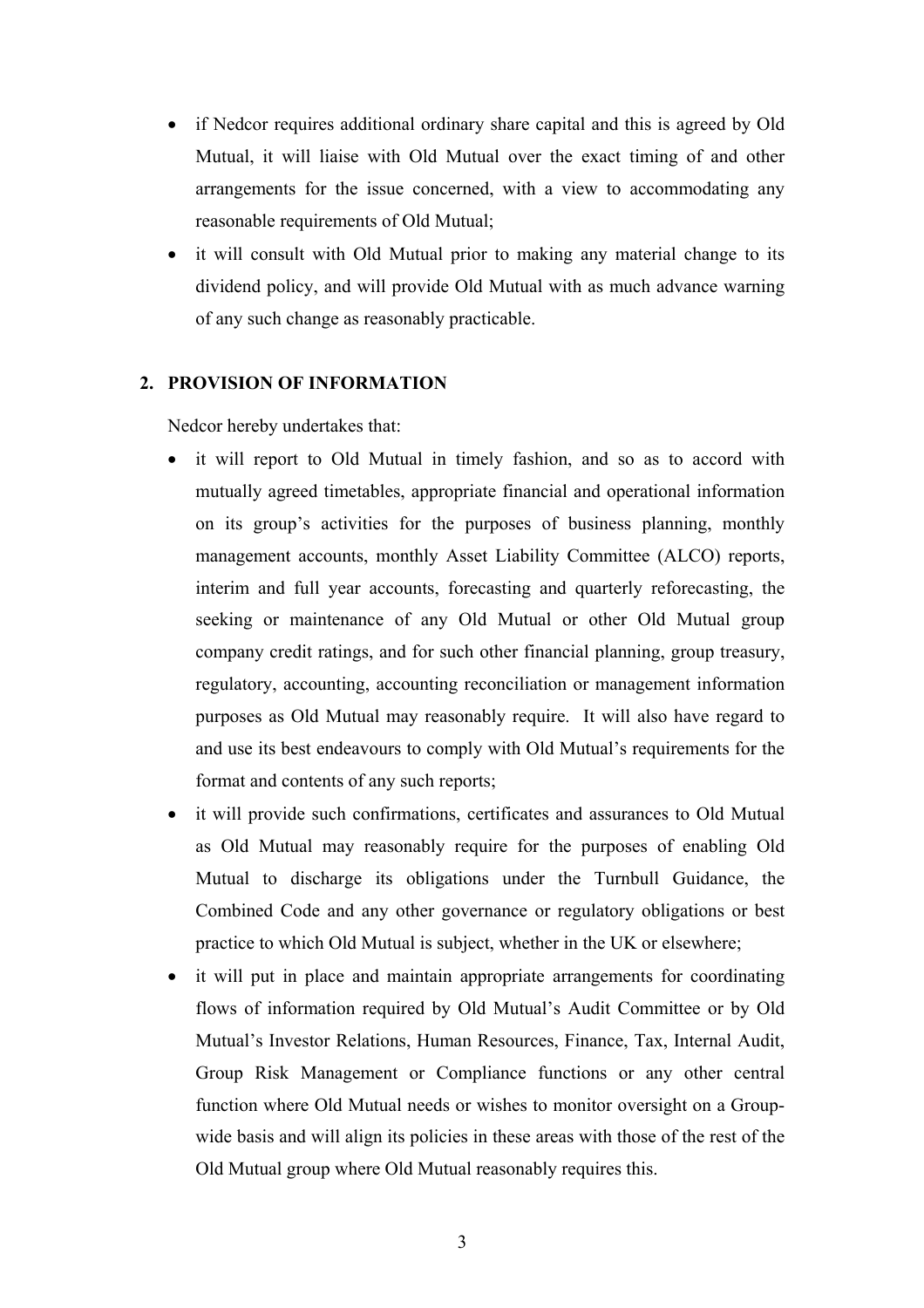- if Nedcor requires additional ordinary share capital and this is agreed by Old Mutual, it will liaise with Old Mutual over the exact timing of and other arrangements for the issue concerned, with a view to accommodating any reasonable requirements of Old Mutual;
- it will consult with Old Mutual prior to making any material change to its dividend policy, and will provide Old Mutual with as much advance warning of any such change as reasonably practicable.

## **2. PROVISION OF INFORMATION**

Nedcor hereby undertakes that:

- it will report to Old Mutual in timely fashion, and so as to accord with mutually agreed timetables, appropriate financial and operational information on its group's activities for the purposes of business planning, monthly management accounts, monthly Asset Liability Committee (ALCO) reports, interim and full year accounts, forecasting and quarterly reforecasting, the seeking or maintenance of any Old Mutual or other Old Mutual group company credit ratings, and for such other financial planning, group treasury, regulatory, accounting, accounting reconciliation or management information purposes as Old Mutual may reasonably require. It will also have regard to and use its best endeavours to comply with Old Mutual's requirements for the format and contents of any such reports;
- it will provide such confirmations, certificates and assurances to Old Mutual as Old Mutual may reasonably require for the purposes of enabling Old Mutual to discharge its obligations under the Turnbull Guidance, the Combined Code and any other governance or regulatory obligations or best practice to which Old Mutual is subject, whether in the UK or elsewhere;
- it will put in place and maintain appropriate arrangements for coordinating flows of information required by Old Mutual's Audit Committee or by Old Mutual's Investor Relations, Human Resources, Finance, Tax, Internal Audit, Group Risk Management or Compliance functions or any other central function where Old Mutual needs or wishes to monitor oversight on a Groupwide basis and will align its policies in these areas with those of the rest of the Old Mutual group where Old Mutual reasonably requires this.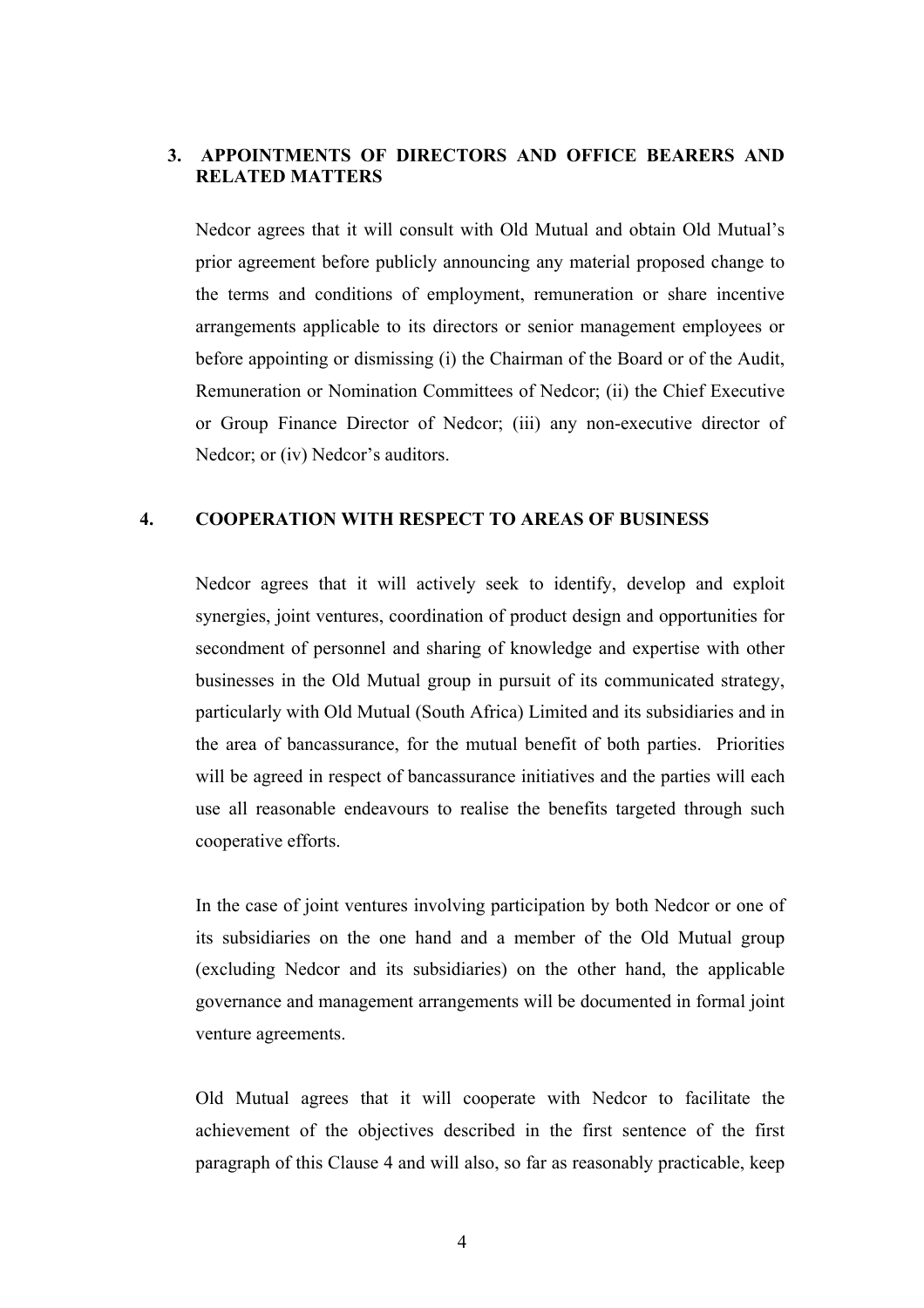## **3. APPOINTMENTS OF DIRECTORS AND OFFICE BEARERS AND RELATED MATTERS**

Nedcor agrees that it will consult with Old Mutual and obtain Old Mutual's prior agreement before publicly announcing any material proposed change to the terms and conditions of employment, remuneration or share incentive arrangements applicable to its directors or senior management employees or before appointing or dismissing (i) the Chairman of the Board or of the Audit, Remuneration or Nomination Committees of Nedcor; (ii) the Chief Executive or Group Finance Director of Nedcor; (iii) any non-executive director of Nedcor; or (iv) Nedcor's auditors.

## **4. COOPERATION WITH RESPECT TO AREAS OF BUSINESS**

Nedcor agrees that it will actively seek to identify, develop and exploit synergies, joint ventures, coordination of product design and opportunities for secondment of personnel and sharing of knowledge and expertise with other businesses in the Old Mutual group in pursuit of its communicated strategy, particularly with Old Mutual (South Africa) Limited and its subsidiaries and in the area of bancassurance, for the mutual benefit of both parties. Priorities will be agreed in respect of bancassurance initiatives and the parties will each use all reasonable endeavours to realise the benefits targeted through such cooperative efforts.

In the case of joint ventures involving participation by both Nedcor or one of its subsidiaries on the one hand and a member of the Old Mutual group (excluding Nedcor and its subsidiaries) on the other hand, the applicable governance and management arrangements will be documented in formal joint venture agreements.

Old Mutual agrees that it will cooperate with Nedcor to facilitate the achievement of the objectives described in the first sentence of the first paragraph of this Clause 4 and will also, so far as reasonably practicable, keep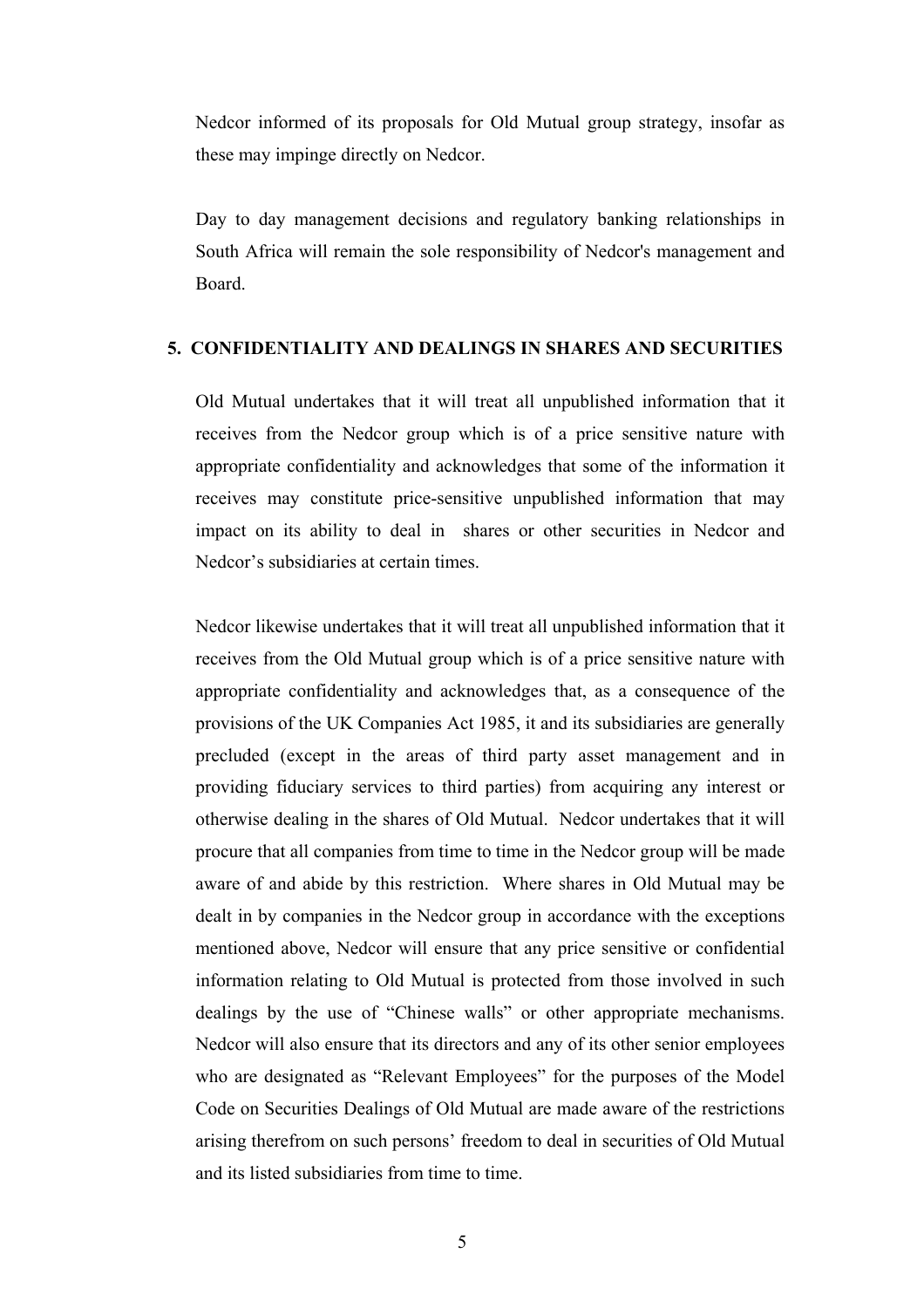Nedcor informed of its proposals for Old Mutual group strategy, insofar as these may impinge directly on Nedcor.

Day to day management decisions and regulatory banking relationships in South Africa will remain the sole responsibility of Nedcor's management and Board.

#### **5. CONFIDENTIALITY AND DEALINGS IN SHARES AND SECURITIES**

Old Mutual undertakes that it will treat all unpublished information that it receives from the Nedcor group which is of a price sensitive nature with appropriate confidentiality and acknowledges that some of the information it receives may constitute price-sensitive unpublished information that may impact on its ability to deal in shares or other securities in Nedcor and Nedcor's subsidiaries at certain times.

Nedcor likewise undertakes that it will treat all unpublished information that it receives from the Old Mutual group which is of a price sensitive nature with appropriate confidentiality and acknowledges that, as a consequence of the provisions of the UK Companies Act 1985, it and its subsidiaries are generally precluded (except in the areas of third party asset management and in providing fiduciary services to third parties) from acquiring any interest or otherwise dealing in the shares of Old Mutual. Nedcor undertakes that it will procure that all companies from time to time in the Nedcor group will be made aware of and abide by this restriction. Where shares in Old Mutual may be dealt in by companies in the Nedcor group in accordance with the exceptions mentioned above, Nedcor will ensure that any price sensitive or confidential information relating to Old Mutual is protected from those involved in such dealings by the use of "Chinese walls" or other appropriate mechanisms. Nedcor will also ensure that its directors and any of its other senior employees who are designated as "Relevant Employees" for the purposes of the Model Code on Securities Dealings of Old Mutual are made aware of the restrictions arising therefrom on such persons' freedom to deal in securities of Old Mutual and its listed subsidiaries from time to time.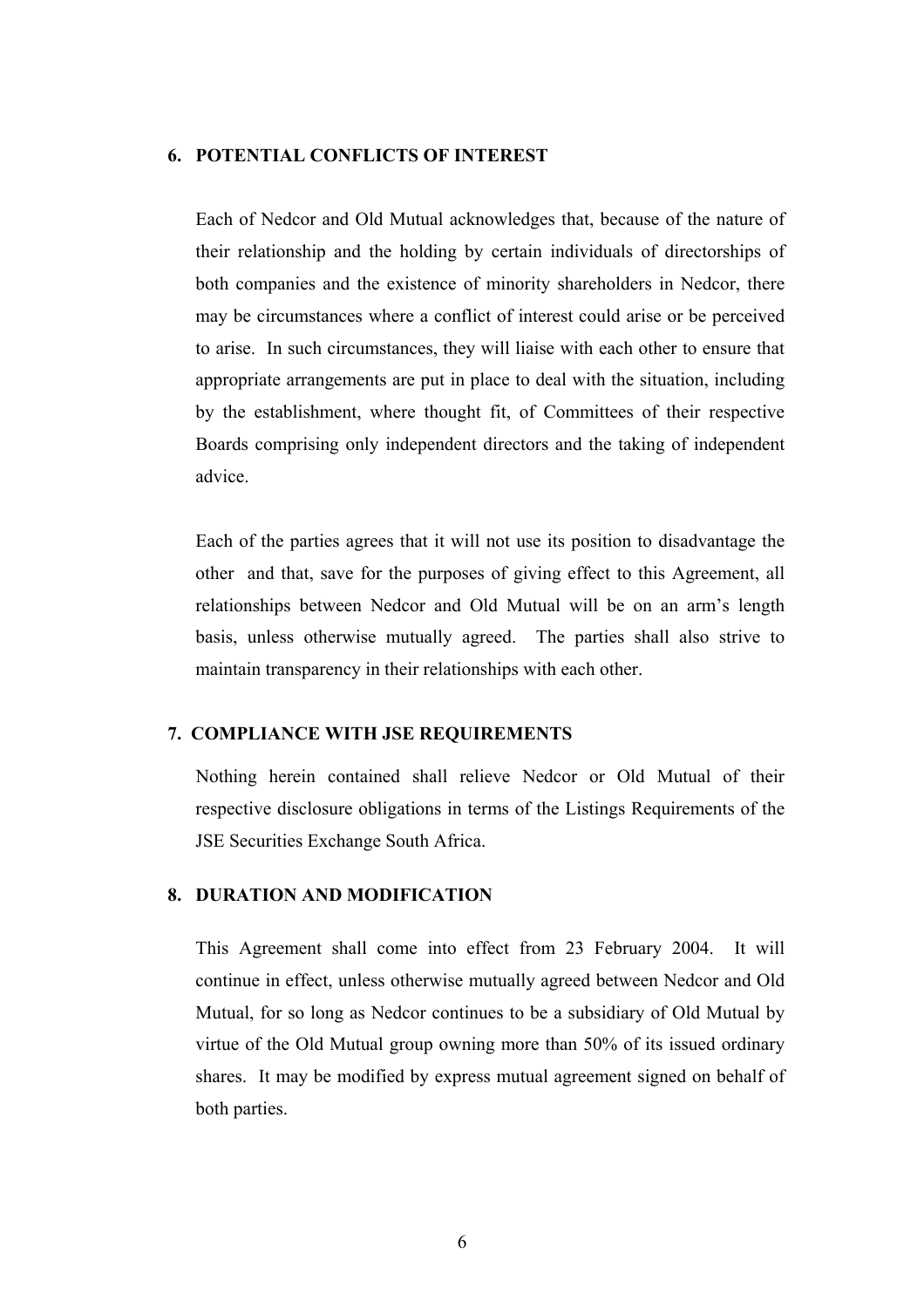#### **6. POTENTIAL CONFLICTS OF INTEREST**

Each of Nedcor and Old Mutual acknowledges that, because of the nature of their relationship and the holding by certain individuals of directorships of both companies and the existence of minority shareholders in Nedcor, there may be circumstances where a conflict of interest could arise or be perceived to arise. In such circumstances, they will liaise with each other to ensure that appropriate arrangements are put in place to deal with the situation, including by the establishment, where thought fit, of Committees of their respective Boards comprising only independent directors and the taking of independent advice.

Each of the parties agrees that it will not use its position to disadvantage the other and that, save for the purposes of giving effect to this Agreement, all relationships between Nedcor and Old Mutual will be on an arm's length basis, unless otherwise mutually agreed. The parties shall also strive to maintain transparency in their relationships with each other.

#### **7. COMPLIANCE WITH JSE REQUIREMENTS**

Nothing herein contained shall relieve Nedcor or Old Mutual of their respective disclosure obligations in terms of the Listings Requirements of the JSE Securities Exchange South Africa.

## **8. DURATION AND MODIFICATION**

This Agreement shall come into effect from 23 February 2004. It will continue in effect, unless otherwise mutually agreed between Nedcor and Old Mutual, for so long as Nedcor continues to be a subsidiary of Old Mutual by virtue of the Old Mutual group owning more than 50% of its issued ordinary shares. It may be modified by express mutual agreement signed on behalf of both parties.